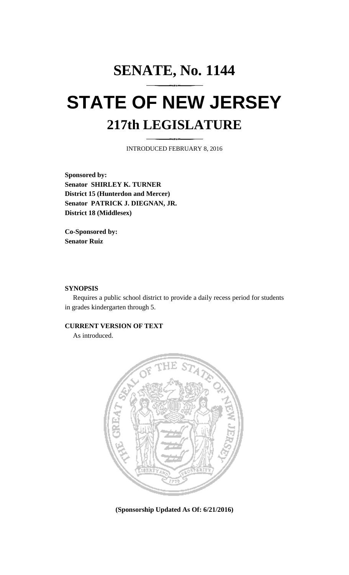## **SENATE, No. 1144 STATE OF NEW JERSEY 217th LEGISLATURE**

INTRODUCED FEBRUARY 8, 2016

**Sponsored by: Senator SHIRLEY K. TURNER District 15 (Hunterdon and Mercer) Senator PATRICK J. DIEGNAN, JR. District 18 (Middlesex)**

**Co-Sponsored by: Senator Ruiz**

## **SYNOPSIS**

Requires a public school district to provide a daily recess period for students in grades kindergarten through 5.

## **CURRENT VERSION OF TEXT**

As introduced.



**(Sponsorship Updated As Of: 6/21/2016)**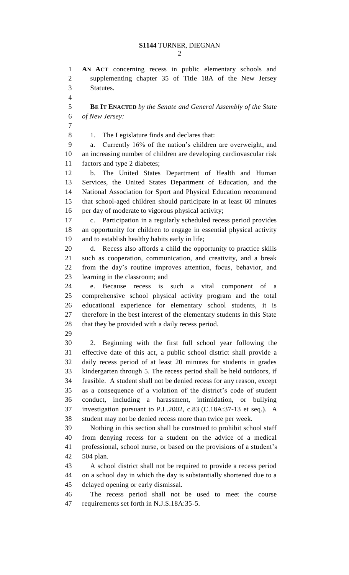**AN ACT** concerning recess in public elementary schools and supplementing chapter 35 of Title 18A of the New Jersey Statutes. **BE IT ENACTED** *by the Senate and General Assembly of the State of New Jersey:* 8 1. The Legislature finds and declares that: a. Currently 16% of the nation's children are overweight, and an increasing number of children are developing cardiovascular risk factors and type 2 diabetes; b. The United States Department of Health and Human Services, the United States Department of Education, and the National Association for Sport and Physical Education recommend that school-aged children should participate in at least 60 minutes 16 per day of moderate to vigorous physical activity; c. Participation in a regularly scheduled recess period provides an opportunity for children to engage in essential physical activity and to establish healthy habits early in life; d. Recess also affords a child the opportunity to practice skills such as cooperation, communication, and creativity, and a break from the day's routine improves attention, focus, behavior, and learning in the classroom; and e. Because recess is such a vital component of a comprehensive school physical activity program and the total educational experience for elementary school students, it is therefore in the best interest of the elementary students in this State that they be provided with a daily recess period. 2. Beginning with the first full school year following the effective date of this act, a public school district shall provide a daily recess period of at least 20 minutes for students in grades kindergarten through 5. The recess period shall be held outdoors, if feasible. A student shall not be denied recess for any reason, except as a consequence of a violation of the district's code of student conduct, including a harassment, intimidation, or bullying investigation pursuant to P.L.2002, c.83 (C.18A:37-13 et seq.). A student may not be denied recess more than twice per week. Nothing in this section shall be construed to prohibit school staff from denying recess for a student on the advice of a medical professional, school nurse, or based on the provisions of a student's 504 plan. A school district shall not be required to provide a recess period on a school day in which the day is substantially shortened due to a delayed opening or early dismissal. The recess period shall not be used to meet the course

requirements set forth in N.J.S.18A:35-5.